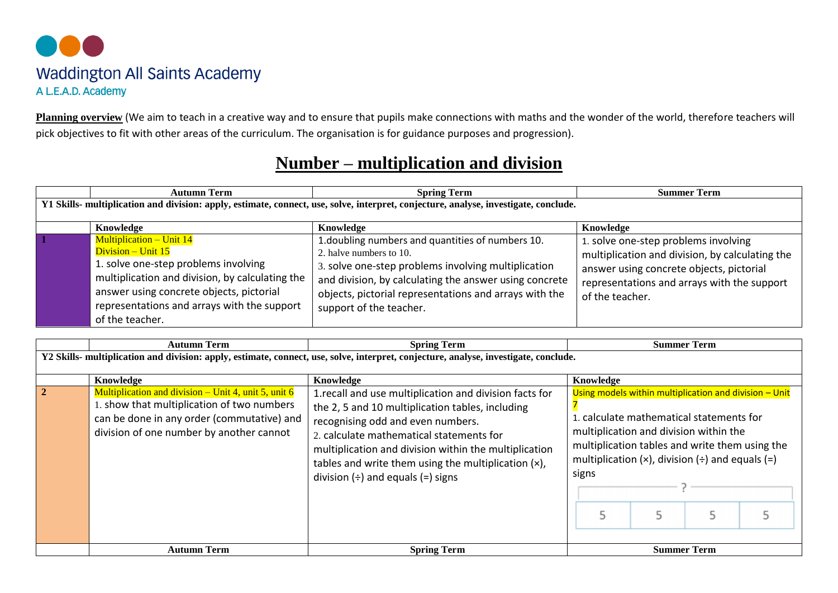

**Planning overview** (We aim to teach in a creative way and to ensure that pupils make connections with maths and the wonder of the world, therefore teachers will pick objectives to fit with other areas of the curriculum. The organisation is for guidance purposes and progression).

## **Number – multiplication and division**

|                                                                                                                                      | <b>Autumn Term</b>                                                                                                                                                                                                                                             | <b>Spring Term</b>                                                                                                                                                                                                                                                                 | <b>Summer Term</b>                                                                                                                                                                                    |  |  |  |  |
|--------------------------------------------------------------------------------------------------------------------------------------|----------------------------------------------------------------------------------------------------------------------------------------------------------------------------------------------------------------------------------------------------------------|------------------------------------------------------------------------------------------------------------------------------------------------------------------------------------------------------------------------------------------------------------------------------------|-------------------------------------------------------------------------------------------------------------------------------------------------------------------------------------------------------|--|--|--|--|
| Y1 Skills- multiplication and division: apply, estimate, connect, use, solve, interpret, conjecture, analyse, investigate, conclude. |                                                                                                                                                                                                                                                                |                                                                                                                                                                                                                                                                                    |                                                                                                                                                                                                       |  |  |  |  |
|                                                                                                                                      | Knowledge                                                                                                                                                                                                                                                      | Knowledge                                                                                                                                                                                                                                                                          | Knowledge                                                                                                                                                                                             |  |  |  |  |
|                                                                                                                                      | <b>Multiplication – Unit 14</b><br>Division – Unit 15<br>1. solve one-step problems involving<br>multiplication and division, by calculating the<br>answer using concrete objects, pictorial<br>representations and arrays with the support<br>of the teacher. | 1. doubling numbers and quantities of numbers 10.<br>2. halve numbers to 10.<br>3. solve one-step problems involving multiplication<br>and division, by calculating the answer using concrete<br>objects, pictorial representations and arrays with the<br>support of the teacher. | 1. solve one-step problems involving<br>multiplication and division, by calculating the<br>answer using concrete objects, pictorial<br>representations and arrays with the support<br>of the teacher. |  |  |  |  |

|                                                                                                                                      | <b>Autumn Term</b>                                                                                                                                                                           | <b>Spring Term</b>                                                                                                                                                                                                                                                                                                                                          | <b>Summer Term</b>                                                                                                                                                                                                                                                        |  |  |  |  |  |
|--------------------------------------------------------------------------------------------------------------------------------------|----------------------------------------------------------------------------------------------------------------------------------------------------------------------------------------------|-------------------------------------------------------------------------------------------------------------------------------------------------------------------------------------------------------------------------------------------------------------------------------------------------------------------------------------------------------------|---------------------------------------------------------------------------------------------------------------------------------------------------------------------------------------------------------------------------------------------------------------------------|--|--|--|--|--|
| Y2 Skills- multiplication and division: apply, estimate, connect, use, solve, interpret, conjecture, analyse, investigate, conclude. |                                                                                                                                                                                              |                                                                                                                                                                                                                                                                                                                                                             |                                                                                                                                                                                                                                                                           |  |  |  |  |  |
|                                                                                                                                      | Knowledge                                                                                                                                                                                    | Knowledge                                                                                                                                                                                                                                                                                                                                                   |                                                                                                                                                                                                                                                                           |  |  |  |  |  |
|                                                                                                                                      | Multiplication and division – Unit 4, unit 5, unit 6<br>1. show that multiplication of two numbers<br>can be done in any order (commutative) and<br>division of one number by another cannot | 1. recall and use multiplication and division facts for<br>the 2, 5 and 10 multiplication tables, including<br>recognising odd and even numbers.<br>2. calculate mathematical statements for<br>multiplication and division within the multiplication<br>tables and write them using the multiplication $(x)$ ,<br>division $(\div)$ and equals $(=)$ signs | Using models within multiplication and division - Unit<br>1. calculate mathematical statements for<br>multiplication and division within the<br>multiplication tables and write them using the<br>multiplication $(x)$ , division $(\div)$ and equals $(=)$<br>signs<br>5 |  |  |  |  |  |
|                                                                                                                                      | <b>Autumn Term</b>                                                                                                                                                                           | <b>Summer Term</b>                                                                                                                                                                                                                                                                                                                                          |                                                                                                                                                                                                                                                                           |  |  |  |  |  |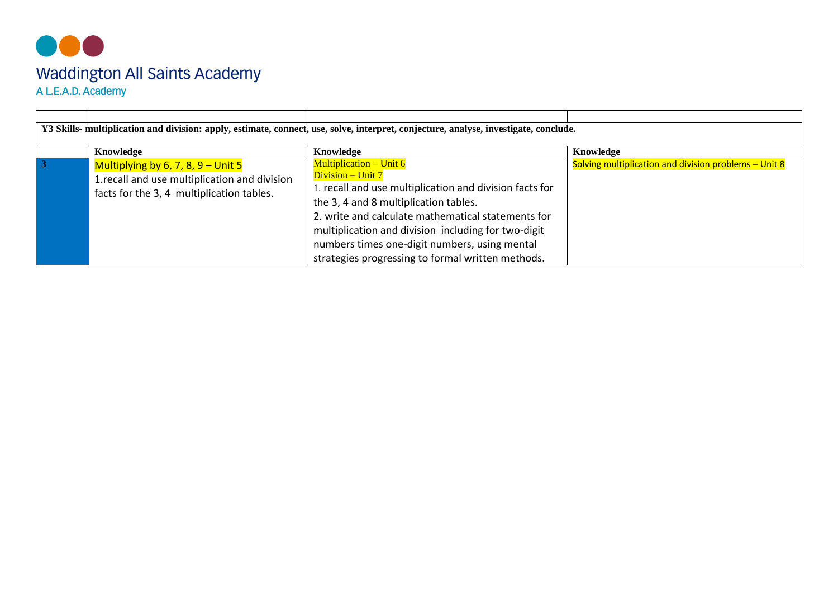## 000 Waddington All Saints Academy<br>A L.E.A.D. Academy

|    | Y3 Skills- multiplication and division: apply, estimate, connect, use, solve, interpret, conjecture, analyse, investigate, conclude. |                                                         |                                                       |  |  |  |  |  |
|----|--------------------------------------------------------------------------------------------------------------------------------------|---------------------------------------------------------|-------------------------------------------------------|--|--|--|--|--|
|    |                                                                                                                                      |                                                         |                                                       |  |  |  |  |  |
|    | Knowledge                                                                                                                            | Knowledge                                               | Knowledge                                             |  |  |  |  |  |
| -3 | Multiplying by 6, 7, 8, 9 – Unit 5                                                                                                   | <b>Multiplication – Unit 6</b>                          | Solving multiplication and division problems - Unit 8 |  |  |  |  |  |
|    | 1. recall and use multiplication and division                                                                                        | Division – Unit 7                                       |                                                       |  |  |  |  |  |
|    | facts for the 3, 4 multiplication tables.                                                                                            | 1. recall and use multiplication and division facts for |                                                       |  |  |  |  |  |
|    |                                                                                                                                      | the 3, 4 and 8 multiplication tables.                   |                                                       |  |  |  |  |  |
|    |                                                                                                                                      | 2. write and calculate mathematical statements for      |                                                       |  |  |  |  |  |
|    |                                                                                                                                      | multiplication and division including for two-digit     |                                                       |  |  |  |  |  |
|    |                                                                                                                                      | numbers times one-digit numbers, using mental           |                                                       |  |  |  |  |  |
|    |                                                                                                                                      | strategies progressing to formal written methods.       |                                                       |  |  |  |  |  |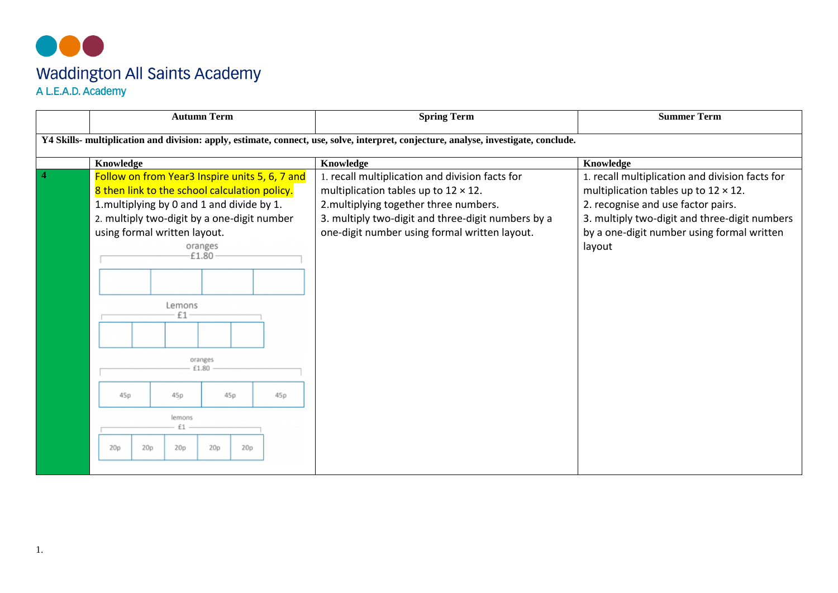## 000 Waddington All Saints Academy<br>A L.E.A.D. Academy

|                                                                                                                                      |                                                |              | <b>Autumn Term</b> |  | <b>Spring Term</b>                                 | <b>Summer Term</b>                              |  |  |  |
|--------------------------------------------------------------------------------------------------------------------------------------|------------------------------------------------|--------------|--------------------|--|----------------------------------------------------|-------------------------------------------------|--|--|--|
| Y4 Skills- multiplication and division: apply, estimate, connect, use, solve, interpret, conjecture, analyse, investigate, conclude. |                                                |              |                    |  |                                                    |                                                 |  |  |  |
|                                                                                                                                      | Knowledge                                      |              |                    |  | Knowledge                                          | Knowledge                                       |  |  |  |
|                                                                                                                                      | Follow on from Year3 Inspire units 5, 6, 7 and |              |                    |  | 1. recall multiplication and division facts for    | 1. recall multiplication and division facts for |  |  |  |
|                                                                                                                                      | 8 then link to the school calculation policy.  |              |                    |  | multiplication tables up to $12 \times 12$ .       | multiplication tables up to $12 \times 12$ .    |  |  |  |
|                                                                                                                                      | 1.multiplying by 0 and 1 and divide by 1.      |              |                    |  | 2.multiplying together three numbers.              | 2. recognise and use factor pairs.              |  |  |  |
|                                                                                                                                      | 2. multiply two-digit by a one-digit number    |              |                    |  | 3. multiply two-digit and three-digit numbers by a | 3. multiply two-digit and three-digit numbers   |  |  |  |
|                                                                                                                                      | using formal written layout.                   |              |                    |  | one-digit number using formal written layout.      | by a one-digit number using formal written      |  |  |  |
|                                                                                                                                      |                                                |              | oranges            |  |                                                    | layout                                          |  |  |  |
|                                                                                                                                      |                                                |              | £1.80              |  |                                                    |                                                 |  |  |  |
|                                                                                                                                      |                                                |              |                    |  |                                                    |                                                 |  |  |  |
|                                                                                                                                      |                                                |              |                    |  |                                                    |                                                 |  |  |  |
|                                                                                                                                      |                                                | Lemons       |                    |  |                                                    |                                                 |  |  |  |
|                                                                                                                                      |                                                | £1           |                    |  |                                                    |                                                 |  |  |  |
|                                                                                                                                      |                                                |              |                    |  |                                                    |                                                 |  |  |  |
|                                                                                                                                      |                                                |              |                    |  |                                                    |                                                 |  |  |  |
|                                                                                                                                      |                                                |              | oranges<br>£1.80   |  |                                                    |                                                 |  |  |  |
|                                                                                                                                      |                                                |              |                    |  |                                                    |                                                 |  |  |  |
|                                                                                                                                      | 45p<br>45p<br>45p<br>45p                       |              |                    |  |                                                    |                                                 |  |  |  |
|                                                                                                                                      |                                                | lemons<br>£1 |                    |  |                                                    |                                                 |  |  |  |
|                                                                                                                                      | 20p<br>20p<br>20p<br>20p<br>20p                |              |                    |  |                                                    |                                                 |  |  |  |
|                                                                                                                                      |                                                |              |                    |  |                                                    |                                                 |  |  |  |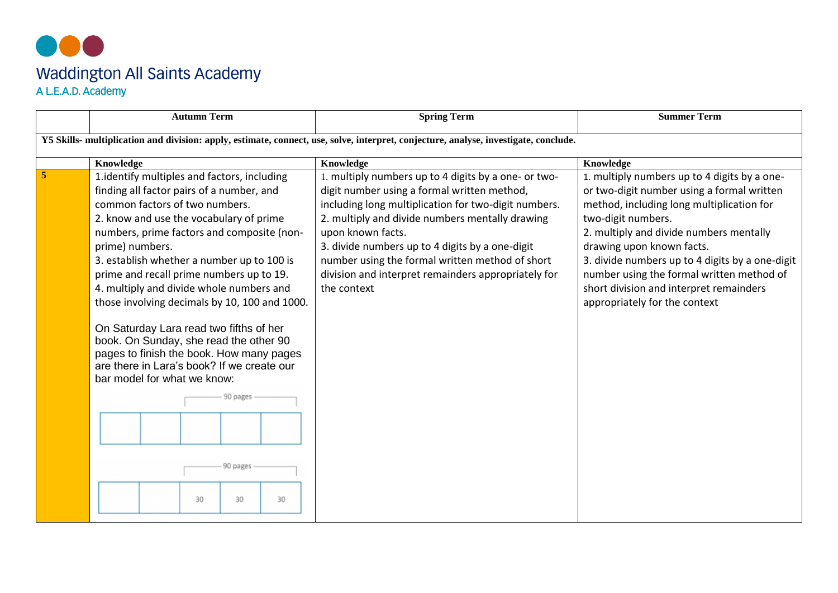## 000 Waddington All Saints Academy<br>A L.E.A.D. Academy

|                                                                                                                                      | <b>Autumn Term</b>                                                                                                                                                                                                                                                                                                                                                                                                                                                                                                                                                                                                                                                                    | <b>Spring Term</b>                                                                                                                                                                                                                                                                                                                                                                                              | <b>Summer Term</b>                                                                                                                                                                                                                                                                                                                                                                                                |  |  |  |  |  |
|--------------------------------------------------------------------------------------------------------------------------------------|---------------------------------------------------------------------------------------------------------------------------------------------------------------------------------------------------------------------------------------------------------------------------------------------------------------------------------------------------------------------------------------------------------------------------------------------------------------------------------------------------------------------------------------------------------------------------------------------------------------------------------------------------------------------------------------|-----------------------------------------------------------------------------------------------------------------------------------------------------------------------------------------------------------------------------------------------------------------------------------------------------------------------------------------------------------------------------------------------------------------|-------------------------------------------------------------------------------------------------------------------------------------------------------------------------------------------------------------------------------------------------------------------------------------------------------------------------------------------------------------------------------------------------------------------|--|--|--|--|--|
| Y5 Skills- multiplication and division: apply, estimate, connect, use, solve, interpret, conjecture, analyse, investigate, conclude. |                                                                                                                                                                                                                                                                                                                                                                                                                                                                                                                                                                                                                                                                                       |                                                                                                                                                                                                                                                                                                                                                                                                                 |                                                                                                                                                                                                                                                                                                                                                                                                                   |  |  |  |  |  |
|                                                                                                                                      | Knowledge                                                                                                                                                                                                                                                                                                                                                                                                                                                                                                                                                                                                                                                                             | Knowledge                                                                                                                                                                                                                                                                                                                                                                                                       | Knowledge                                                                                                                                                                                                                                                                                                                                                                                                         |  |  |  |  |  |
|                                                                                                                                      | 1.identify multiples and factors, including<br>finding all factor pairs of a number, and<br>common factors of two numbers.<br>2. know and use the vocabulary of prime<br>numbers, prime factors and composite (non-<br>prime) numbers.<br>3. establish whether a number up to 100 is<br>prime and recall prime numbers up to 19.<br>4. multiply and divide whole numbers and<br>those involving decimals by 10, 100 and 1000.<br>On Saturday Lara read two fifths of her<br>book. On Sunday, she read the other 90<br>pages to finish the book. How many pages<br>are there in Lara's book? If we create our<br>bar model for what we know:<br>90 pages<br>90 pages<br>30<br>30<br>30 | 1. multiply numbers up to 4 digits by a one- or two-<br>digit number using a formal written method,<br>including long multiplication for two-digit numbers.<br>2. multiply and divide numbers mentally drawing<br>upon known facts.<br>3. divide numbers up to 4 digits by a one-digit<br>number using the formal written method of short<br>division and interpret remainders appropriately for<br>the context | 1. multiply numbers up to 4 digits by a one-<br>or two-digit number using a formal written<br>method, including long multiplication for<br>two-digit numbers.<br>2. multiply and divide numbers mentally<br>drawing upon known facts.<br>3. divide numbers up to 4 digits by a one-digit<br>number using the formal written method of<br>short division and interpret remainders<br>appropriately for the context |  |  |  |  |  |